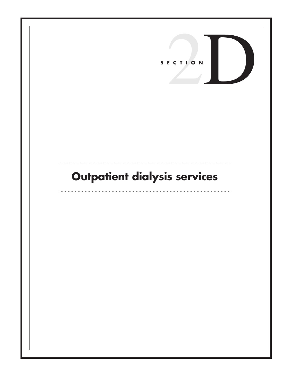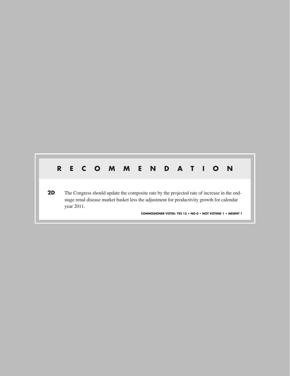# **R E C O M M E N D A T I O N**

**2D** The Congress should update the composite rate by the projected rate of increase in the endstage renal disease market basket less the adjustment for productivity growth for calendar year 2011.

**COMMISSIONER VOTES: YES 15 • NO 0 • NOT VOTING 1 • ABSENT 1**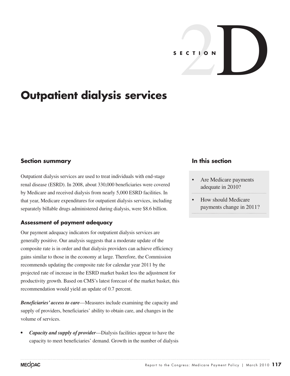

# **Outpatient dialysis services**

## **Section summary**

Outpatient dialysis services are used to treat individuals with end-stage renal disease (ESRD). In 2008, about 330,000 beneficiaries were covered by Medicare and received dialysis from nearly 5,000 ESRD facilities. In that year, Medicare expenditures for outpatient dialysis services, including separately billable drugs administered during dialysis, were \$8.6 billion.

## **Assessment of payment adequacy**

Our payment adequacy indicators for outpatient dialysis services are generally positive. Our analysis suggests that a moderate update of the composite rate is in order and that dialysis providers can achieve efficiency gains similar to those in the economy at large. Therefore, the Commission recommends updating the composite rate for calendar year 2011 by the projected rate of increase in the ESRD market basket less the adjustment for productivity growth. Based on CMS's latest forecast of the market basket, this recommendation would yield an update of 0.7 percent.

*Beneficiaries' access to care*—Measures include examining the capacity and supply of providers, beneficiaries' ability to obtain care, and changes in the volume of services.

*Capacity and supply of provider—Dialysis facilities appear to have the* capacity to meet beneficiaries' demand. Growth in the number of dialysis

## **In this section**

- Are Medicare payments adequate in 2010?
- How should Medicare payments change in 2011?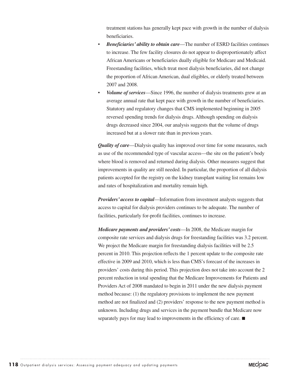treatment stations has generally kept pace with growth in the number of dialysis beneficiaries.

- *Beneficiaries' ability to obtain care*—The number of ESRD facilities continues to increase. The few facility closures do not appear to disproportionately affect African Americans or beneficiaries dually eligible for Medicare and Medicaid. Freestanding facilities, which treat most dialysis beneficiaries, did not change the proportion of African American, dual eligibles, or elderly treated between 2007 and 2008.
- *Volume of services*—Since 1996, the number of dialysis treatments grew at an average annual rate that kept pace with growth in the number of beneficiaries. Statutory and regulatory changes that CMS implemented beginning in 2005 reversed spending trends for dialysis drugs. Although spending on dialysis drugs decreased since 2004, our analysis suggests that the volume of drugs increased but at a slower rate than in previous years.

*Quality of care—Dialysis quality has improved over time for some measures, such* as use of the recommended type of vascular access—the site on the patient's body where blood is removed and returned during dialysis. Other measures suggest that improvements in quality are still needed. In particular, the proportion of all dialysis patients accepted for the registry on the kidney transplant waiting list remains low and rates of hospitalization and mortality remain high.

*Providers' access to capital*—Information from investment analysts suggests that access to capital for dialysis providers continues to be adequate. The number of facilities, particularly for-profit facilities, continues to increase.

*Medicare payments and providers' costs*—In 2008, the Medicare margin for composite rate services and dialysis drugs for freestanding facilities was 3.2 percent. We project the Medicare margin for freestanding dialysis facilities will be 2.5 percent in 2010. This projection reflects the 1 percent update to the composite rate effective in 2009 and 2010, which is less than CMS's forecast of the increases in providers' costs during this period. This projection does not take into account the 2 percent reduction in total spending that the Medicare Improvements for Patients and Providers Act of 2008 mandated to begin in 2011 under the new dialysis payment method because: (1) the regulatory provisions to implement the new payment method are not finalized and (2) providers' response to the new payment method is unknown. Including drugs and services in the payment bundle that Medicare now separately pays for may lead to improvements in the efficiency of care. ■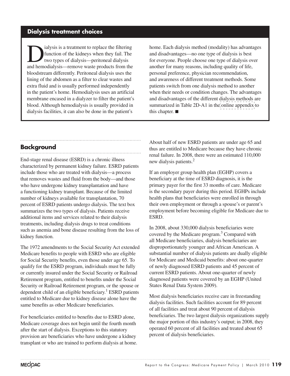## **Dialysis treatment choices**

I alysis is a treatment to replace the filtering<br>function of the kidneys when they fail. The<br>two types of dialysis—peritoneal dialysis<br>and hamodialysis remove wests products from the function of the kidneys when they fail. The two types of dialysis—peritoneal dialysis and hemodialysis—remove waste products from the bloodstream differently. Peritoneal dialysis uses the lining of the abdomen as a filter to clear wastes and extra fluid and is usually performed independently in the patient's home. Hemodialysis uses an artificial membrane encased in a dialyzer to filter the patient's blood. Although hemodialysis is usually provided in dialysis facilities, it can also be done in the patient's

home. Each dialysis method (modality) has advantages and disadvantages—no one type of dialysis is best for everyone. People choose one type of dialysis over another for many reasons, including quality of life, personal preference, physician recommendation, and awareness of different treatment methods. Some patients switch from one dialysis method to another when their needs or condition changes. The advantages and disadvantages of the different dialysis methods are summarized in Table 2D-A1 in the [online appendix](http://medpac.gov/chapters/Mar10_Ch02D_APPENDIX.pdf) to this chapter. ■

## **Background**

End-stage renal disease (ESRD) is a chronic illness characterized by permanent kidney failure. ESRD patients include those who are treated with dialysis—a process that removes wastes and fluid from the body—and those who have undergone kidney transplantation and have a functioning kidney transplant. Because of the limited number of kidneys available for transplantation, 70 percent of ESRD patients undergo dialysis. The text box summarizes the two types of dialysis. Patients receive additional items and services related to their dialysis treatments, including dialysis drugs to treat conditions such as anemia and bone disease resulting from the loss of kidney function.

The 1972 amendments to the Social Security Act extended Medicare benefits to people with ESRD who are eligible for Social Security benefits, even those under age 65. To qualify for the ESRD program, individuals must be fully or currently insured under the Social Security or Railroad Retirement program, entitled to benefits under the Social Security or Railroad Retirement program, or the spouse or dependent child of an eligible beneficiary.<sup>1</sup> ESRD patients entitled to Medicare due to kidney disease alone have the same benefits as other Medicare beneficiaries.

For beneficiaries entitled to benefits due to ESRD alone, Medicare coverage does not begin until the fourth month after the start of dialysis. Exceptions to this statutory provision are beneficiaries who have undergone a kidney transplant or who are trained to perform dialysis at home. About half of new ESRD patients are under age 65 and thus are entitled to Medicare because they have chronic renal failure. In 2008, there were an estimated 110,000 new dialysis patients.<sup>2</sup>

If an employer group health plan (EGHP) covers a beneficiary at the time of ESRD diagnosis, it is the primary payer for the first 33 months of care. Medicare is the secondary payer during this period. EGHPs include health plans that beneficiaries were enrolled in through their own employment or through a spouse's or parent's employment before becoming eligible for Medicare due to ESRD.

In 2008, about 330,000 dialysis beneficiaries were covered by the Medicare program.<sup>3</sup> Compared with all Medicare beneficiaries, dialysis beneficiaries are disproportionately younger and African American. A substantial number of dialysis patients are dually eligible for Medicare and Medicaid benefits: about one-quarter of newly diagnosed ESRD patients and 45 percent of current ESRD patients. About one-quarter of newly diagnosed patients were covered by an EGHP (United States Renal Data System 2009).

Most dialysis beneficiaries receive care in freestanding dialysis facilities. Such facilities account for 89 percent of all facilities and treat about 90 percent of dialysis beneficiaries. The two largest dialysis organizations supply the major portion of this industry's output; in 2008, they operated 60 percent of all facilities and treated about 65 percent of dialysis beneficiaries.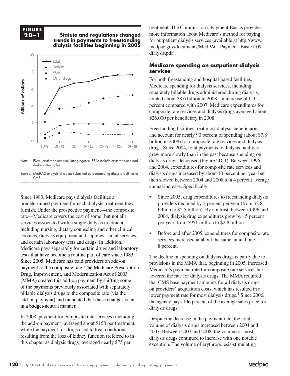#### **F I G U R E 2D-1**

**2D –1 Statute and regulations changed trends in payments to freestanding dialysis facilities beginning in 2005 The statute and regulations changed... FIGURE**



Note: ESAs (erythropoiesis-stimulating agents). ESAs include erythropoietin and darbepoetin alpha.

Source: MedPAC analysis of claims submitted by freestanding dialysis facilities to **CMS** 

Since 1983, Medicare pays dialysis facilities a predetermined payment for each dialysis treatment they furnish. Under the prospective payment—the composite rate—Medicare covers the cost of some (but not all) services associated with a single dialysis treatment, including nursing, dietary counseling and other clinical services, dialysis equipment and supplies, social services, and certain laboratory tests and drugs. In addition, Medicare pays separately for certain drugs and laboratory <sup>of percent.</sup> tests that have become a routine part of care since 1983. payment to the composite rate. The Medicare Prescription Drug, Improvement, and Modernization Act of 2003 (MMA) created this add-on payment by shifting some  $\frac{1}{2}$  that CMS of the payments previously associated with separately  $\frac{1}{2}$  on provide billable dialysis drugs to the composite rate (via the add-on payment) and mandated that these changes occur in a budget-neutral manner.

In 2008, payment for composite rate services (including the add-on payment) averaged about \$158 per treatment, while the payment for drugs used to treat conditions resulting from the loss of kidney function (referred to in this chapter as dialysis drugs) averaged nearly \$75 per

treatment. The Commission's Payment Basics provides more information about Medicare's method for paying for outpatient dialysis services (available at http://www. medpac.gov/documents/MedPAC\_Payment\_Basics\_09\_ dialysis.pdf).

#### **Medicare spending on outpatient dialysis**  services

For both freestanding and hospital-based facilities, Medicare spending for dialysis services, including separately billable drugs administered during dialysis, totaled about \$8.6 billion in 2008, an increase of 0.3 percent compared with 2007. Medicare expenditures for composite rate services and dialysis drugs averaged about \$26,000 per beneficiary in 2008.

Freestanding facilities treat most dialysis beneficiaries and account for nearly 90 percent of spending (about \$7.8 billion in 2008) for composite rate services and dialysis drugs. Since 2004, total payments to dialysis facilities grew more slowly than in the past because spending on dialysis drugs decreased (Figure 2D-1). Between 1996 and 2004, expenditures for composite rate services and and 2004, expenditules for composite rate services and dialysis drugs increased by about 10 percent per year but then slowed between  $2004$  and  $2008$  to a 4 percent average  $\frac{1}{200}$  annual increase. Specifically:  $\mathcal{L}$  definition  $\mathcal{L}$   $\mathcal{L}$   $\mathcal{L}$   $\mathcal{L}$   $\mathcal{L}$   $\mathcal{L}$   $\mathcal{L}$   $\mathcal{L}$   $\mathcal{L}$   $\mathcal{L}$   $\mathcal{L}$   $\mathcal{L}$   $\mathcal{L}$   $\mathcal{L}$   $\mathcal{L}$   $\mathcal{L}$   $\mathcal{L}$   $\mathcal{L}$   $\mathcal{L}$   $\mathcal{L}$   $\mathcal{L}$   $\mathcal{L}$   $\math$ 

- Since 2005, drug expenditures to freestanding dialysis providers declined by 3 percent per year (from \$2.8 billion to \$2.5 billion). By contrast, between 1996 and 2004, dialysis drug expenditures grew by 15 percent per year, from \$951 million to \$2.8 billion.
- Before and after 2005, expenditures for composite rate services increased at about the same annual rate— 8 percent.

Since 2005, Medicare has paid providers an add-on provisions in the MMA that beginning in 2005 increased The decline in spending on dialysis drugs is partly due to provisions in the MMA that, beginning in 2005, increased the composite rate. The Medicare Prescription Medicare's payment rate for composite rate services but lowered the rate for dialysis drugs. The MMA required that CMS base payment amounts for all dialysis drugs on providers' acquisition costs, which has resulted in a lower payment rate for most dialysis drugs.<sup>4</sup> Since 2006, the agency pays 106 percent of the average sales price for dialysis drugs.

> Despite the decrease in the payment rate, the total volume of dialysis drugs increased between 2004 and 2007. Between 2007 and 2008, the volume of most dialysis drugs continued to increase with one notable exception. The volume of erythropoiesis-stimulating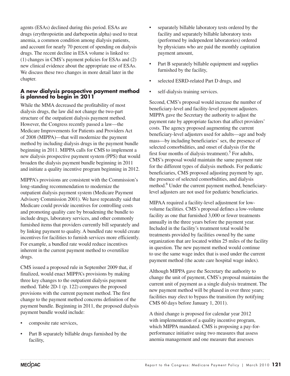agents (ESAs) declined during this period. ESAs are drugs (erythropoietin and darbepoetin alpha) used to treat anemia, a common condition among dialysis patients, and account for nearly 70 percent of spending on dialysis drugs. The recent decline in ESA volume is linked to: (1) changes in CMS's payment policies for ESAs and (2) new clinical evidence about the appropriate use of ESAs. We discuss these two changes in more detail later in the chapter.

#### **A new dialysis prospective payment method is planned to begin in 2011**

While the MMA decreased the profitability of most dialysis drugs, the law did not change the two-part structure of the outpatient dialysis payment method. However, the Congress recently passed a law—the Medicare Improvements for Patients and Providers Act of 2008 (MIPPA)—that will modernize the payment method by including dialysis drugs in the payment bundle beginning in 2011. MIPPA calls for CMS to implement a new dialysis prospective payment system (PPS) that would broaden the dialysis payment bundle beginning in 2011 and initiate a quality incentive program beginning in 2012.

MIPPA's provisions are consistent with the Commission's long-standing recommendation to modernize the outpatient dialysis payment system (Medicare Payment Advisory Commission 2001). We have repeatedly said that Medicare could provide incentives for controlling costs and promoting quality care by broadening the bundle to include drugs, laboratory services, and other commonly furnished items that providers currently bill separately and by linking payment to quality. A bundled rate would create incentives for facilities to furnish services more efficiently. For example, a bundled rate would reduce incentives inherent in the current payment method to overutilize drugs.

CMS issued a proposed rule in September 2009 that, if finalized, would enact MIPPA's provisions by making three key changes to the outpatient dialysis payment method. Table 2D-1 (p. 122) compares the proposed provisions with the current payment method. The first change to the payment method concerns definition of the payment bundle. Beginning in 2011, the proposed dialysis payment bundle would include:

- composite rate services,
- Part B separately billable drugs furnished by the facility,
- separately billable laboratory tests ordered by the facility and separately billable laboratory tests (performed by independent laboratories) ordered by physicians who are paid the monthly capitation payment amount,
- Part B separately billable equipment and supplies furnished by the facility,
- selected ESRD-related Part D drugs, and
- self-dialysis training services.

Second, CMS's proposal would increase the number of beneficiary-level and facility-level payment adjusters. MIPPA gave the Secretary the authority to adjust the payment rate by appropriate factors that affect providers' costs. The agency proposed augmenting the current beneficiary-level adjusters used for adults—age and body mass—by including beneficiaries' sex, the presence of selected comorbidities, and onset of dialysis (for the first four months of dialysis treatment).<sup>5</sup> For adults, CMS's proposal would maintain the same payment rate for the different types of dialysis methods. For pediatric beneficiaries, CMS proposed adjusting payment by age, the presence of selected comorbidities, and dialysis method.<sup>6</sup> Under the current payment method, beneficiarylevel adjusters are not used for pediatric beneficiaries.

MIPAA required a facility-level adjustment for lowvolume facilities. CMS's proposal defines a low-volume facility as one that furnished 3,000 or fewer treatments annually in the three years before the payment year. Included in the facility's treatment total would be treatments provided by facilities owned by the same organization that are located within 25 miles of the facility in question. The new payment method would continue to use the same wage index that is used under the current payment method (the acute care hospital wage index).

Although MIPPA gave the Secretary the authority to change the unit of payment, CMS's proposal maintains the current unit of payment as a single dialysis treatment. The new payment method will be phased in over three years; facilities may elect to bypass the transition (by notifying CMS 60 days before January 1, 2011).

A third change is proposed for calendar year 2012 with implementation of a quality incentive program, which MIPPA mandated. CMS is proposing a pay-forperformance initiative using two measures that assess anemia management and one measure that assesses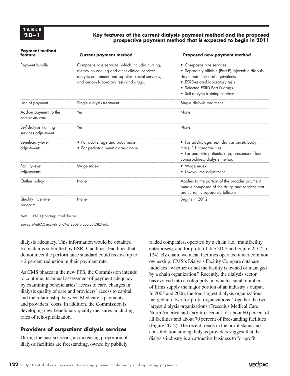#### **2D –1 Key features of the current dialysis payment method and the proposed prospective payment method that is expected to begin in 2011**

| <b>Payment method</b><br>feature              | <b>Current payment method</b>                                                                                                                                                                       | Proposed new payment method                                                                                                                                                                                                 |
|-----------------------------------------------|-----------------------------------------------------------------------------------------------------------------------------------------------------------------------------------------------------|-----------------------------------------------------------------------------------------------------------------------------------------------------------------------------------------------------------------------------|
| Payment bundle                                | Composite rate services, which include: nursing,<br>dietary counseling and other clinical services,<br>dialysis equipment and supplies, social services,<br>and certain laboratory tests and drugs. | • Composite rate services<br>• Separately billable (Part B) injectable dialysis<br>drugs and their oral equivalents<br>• ESRD-related laboratory tests<br>• Selected ESRD Part D drugs<br>• Self-dialysis training services |
| Unit of payment                               | Single dialysis treatment                                                                                                                                                                           | Single dialysis treatment                                                                                                                                                                                                   |
| Add-on payment to the<br>composite rate       | Yes                                                                                                                                                                                                 | None                                                                                                                                                                                                                        |
| Self-dialysis training<br>services adjustment | Yes                                                                                                                                                                                                 | None                                                                                                                                                                                                                        |
| Beneficiary-level<br>adjustments              | • For adults: age and body mass<br>• For pediatric beneficiaries: none                                                                                                                              | • For adults: age, sex, dialysis onset, body<br>mass, 11 comorbidities<br>• For pediatric patients: age, presence of four<br>comorbidities, dialysis method                                                                 |
| Facility-level<br>adjustments                 | Wage index                                                                                                                                                                                          | • Wage index<br>• Low-volume adjustment                                                                                                                                                                                     |
| Outlier policy                                | None                                                                                                                                                                                                | Applies to the portion of the broader payment<br>bundle composed of the drugs and services that<br>are currently separately billable                                                                                        |
| Quality incentive<br>program                  | None                                                                                                                                                                                                | Begins in 2012                                                                                                                                                                                                              |

Source: MedPAC analysis of CMS 2009 proposed ESRD rule.

dialysis adequacy. This information would be obtained from claims submitted by ESRD facilities. Facilities that do not meet the performance standard could receive up to a 2 percent reduction in their payment rate.

As CMS phases in the new PPS, the Commission intends to continue its annual assessment of payment adequacy by examining beneficiaries' access to care, changes in dialysis quality of care and providers' access to capital, and the relationship between Medicare's payments and providers' costs. In addition, the Commission is developing new beneficiary quality measures, including rates of rehospitalization.

#### **Providers of outpatient dialysis services**

During the past six years, an increasing proportion of dialysis facilities are freestanding, owned by publicly traded companies, operated by a chain (i.e., multifacility enterprises), and for profit (Table 2D-2 and Figure 2D-2, p. 124). By chain, we mean facilities operated under common ownership; CMS's Dialysis Facility Compare database indicates "whether or not the facility is owned or managed by a chain organization." Recently, the dialysis sector has evolved into an oligopoly, in which a small number of firms supply the major portion of an industry's output. In 2005 and 2006, the four largest dialysis organizations merged into two for-profit organizations. Together the two largest dialysis organizations (Fresenius Medical Care North America and DaVita) account for about 60 percent of all facilities and about 70 percent of freestanding facilities (Figure 2D-2). The recent trends in the profit status and consolidation among dialysis providers suggest that the dialysis industry is an attractive business to for-profit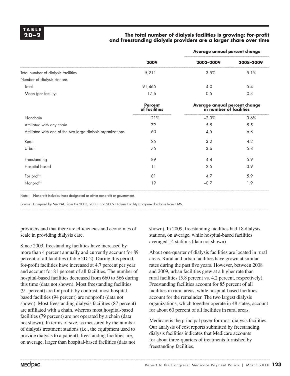#### **2D –2 The total number of dialysis facilities is growing; for-profit and freestanding dialysis providers are a larger share over time**

|                                                             |                                 | Average annual percent change                            |           |  |  |
|-------------------------------------------------------------|---------------------------------|----------------------------------------------------------|-----------|--|--|
|                                                             | 2009                            | 2003-2009                                                | 2008-2009 |  |  |
| Total number of dialysis facilities                         | 5,211                           | 3.5%                                                     | 5.1%      |  |  |
| Number of dialysis stations                                 |                                 |                                                          |           |  |  |
| Total                                                       | 91,465                          | 4.0                                                      | 5.4       |  |  |
| Mean (per facility)                                         | 17.6                            | 0.5                                                      | 0.3       |  |  |
|                                                             | <b>Percent</b><br>of facilities | Average annual percent change<br>in number of facilities |           |  |  |
| Nonchain                                                    | 21%                             | $-2.3%$                                                  | 3.6%      |  |  |
| Affiliated with any chain                                   | 79                              | 5.5                                                      | 5.5       |  |  |
| Affiliated with one of the two large dialysis organizations | 60                              | 4.5                                                      | 6.8       |  |  |
| Rural                                                       | 25                              | 3.2                                                      | 4.2       |  |  |
| Urban                                                       | 75                              | 3.6                                                      | 5.8       |  |  |
| Freestanding                                                | 89                              | 4.4                                                      | 5.9       |  |  |
| Hospital based                                              | 11                              | $-2.5$                                                   | $-3.9$    |  |  |
| For profit                                                  | 81                              | 4.7                                                      | 5.9       |  |  |
| Nonprofit                                                   | 19                              | $-0.7$                                                   | 1.9       |  |  |
|                                                             |                                 |                                                          |           |  |  |

Note: Nonprofit includes those designated as either nonprofit or government.

Source: Compiled by MedPAC from the 2003, 2008, and 2009 Dialysis Facility Compare database from CMS.

providers and that there are efficiencies and economies of scale in providing dialysis care.

Since 2003, freestanding facilities have increased by more than 4 percent annually and currently account for 89 percent of all facilities (Table 2D-2). During this period, for-profit facilities have increased at 4.7 percent per year and account for 81 percent of all facilities. The number of hospital-based facilities decreased from 660 to 566 during this time (data not shown). Most freestanding facilities (91 percent) are for profit; by contrast, most hospitalbased facilities (94 percent) are nonprofit (data not shown). Most freestanding dialysis facilities (87 percent) are affiliated with a chain, whereas most hospital-based facilities (79 percent) are not operated by a chain (data not shown). In terms of size, as measured by the number of dialysis treatment stations (i.e., the equipment used to provide dialysis to a patient), freestanding facilities are, on average, larger than hospital-based facilities (data not

shown). In 2009, freestanding facilities had 18 dialysis stations, on average, while hospital-based facilities averaged 14 stations (data not shown).

About one-quarter of dialysis facilities are located in rural areas. Rural and urban facilities have grown at similar rates during the past five years. However, between 2008 and 2009, urban facilities grew at a higher rate than rural facilities (5.8 percent vs. 4.2 percent, respectively). Freestanding facilities account for 85 percent of all facilities in rural areas, while hospital-based facilities account for the remainder. The two largest dialysis organizations, which together operate in 48 states, account for about 60 percent of all facilities in rural areas.

Medicare is the principal payer for most dialysis facilities. Our analysis of cost reports submitted by freestanding dialysis facilities indicates that Medicare accounts for about three-quarters of treatments furnished by freestanding facilities.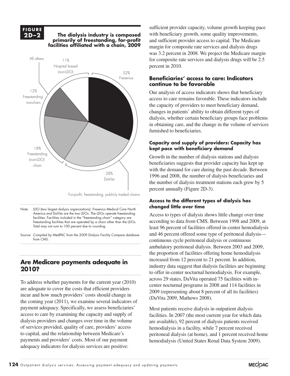#### **F I G U R E FIGURE 2D–2**

#### **2D –2 The dialysis industry is composed primarily of freestanding, for-profit The dialysis industry is composed facilities affiliated with a chain, 2009 primarily of freestanding, for-profit** *s* **annuica** with a chain<sub></sub> 2007



For-profit, freestanding, publicly traded chains

.<br>Note: LDO (two largest dialysis organizations). Fresenius Medical Care North America and DaVita are the two LDOs. The LDOs operate freestanding facilities. Facilities included in the "freestanding chain" category are freestanding facilities that are operated by a chain other than the LDOs. Total may not sum to 100 percent due to rounding.

Source: Compiled by MedPAC from the 2009 Dialysis Facility Compare database from CMS.

## **Are Medicare payments adequate in 2010?**

To address whether payments for the current year (2010) are adequate to cover the costs that efficient providers incur and how much providers' costs should change in the coming year (2011), we examine several indicators of payment adequacy. Specifically, we assess beneficiaries' access to care by examining the capacity and supply of dialysis providers and changes over time in the volume of services provided, quality of care, providers' access to capital, and the relationship between Medicare's payments and providers' costs. Most of our payment adequacy indicators for dialysis services are positive:

sufficient provider capacity, volume growth keeping pace with beneficiary growth, some quality improvements, and sufficient provider access to capital. The Medicare margin for composite rate services and dialysis drugs was 3.2 percent in 2008. We project the Medicare margin for composite rate services and dialysis drugs will be 2.5 percent in 2010.

#### **Beneficiaries' access to care: Indicators continue to be favorable**

Our analysis of access indicators shows that beneficiary access to care remains favorable. These indicators include the capacity of providers to meet beneficiary demand, changes in patients' ability to obtain different types of dialysis, whether certain beneficiary groups face problems in obtaining care, and the change in the volume of services furnished to beneficiaries.

#### **Capacity and supply of providers: Capacity has kept pace with beneficiary demand**

Growth in the number of dialysis stations and dialysis beneficiaries suggests that provider capacity has kept up with the demand for care during the past decade. Between 1996 and 2008, the number of dialysis beneficiaries and the number of dialysis treatment stations each grew by 5 percent annually (Figure 2D-3).

#### **Access to the different types of dialysis has changed little over time**

Access to types of dialysis shows little change over time according to data from CMS. Between 1998 and 2009, at least 96 percent of facilities offered in-center hemodialysis and 46 percent offered some type of peritoneal dialysis continuous cycle peritoneal dialysis or continuous ambulatory peritoneal dialysis. Between 2003 and 2009, the proportion of facilities offering home hemodialysis increased from 12 percent to 21 percent. In addition, industry data suggest that dialysis facilities are beginning to offer in-center nocturnal hemodialysis. For example, across 29 states, DaVita operated 75 facilities with incenter nocturnal programs in 2008 and 114 facilities in 2009 (representing about 8 percent of all its facilities) (DaVita 2009, Mathews 2008).

Most patients receive dialysis in outpatient dialysis facilities. In 2007 (the most current year for which data are available), 92 percent of dialysis patients received hemodialysis in a facility, while 7 percent received peritoneal dialysis (at home), and 1 percent received home hemodialysis (United States Renal Data System 2009).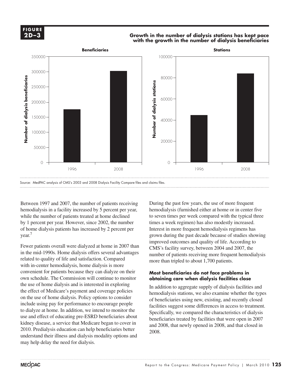#### **2D-3 2D –3F I G U R E**

#### **Growth in the number of dialysis stations has kept pace with the growth in the number of dialysis beneficiaries GURE Extending in the number of the number of the number of the number of the number of the number of the number of the number of the number of the number of the number of the number of the number of the number of the n**



Between 1997 and 2007, the number of patients receiving hemodialysis in a facility increased by 5 percent per year, while the number of patients treated at home declined by 1 percent per year. However, since 2002, the number of home dialysis patients has increased by 2 percent per year.7

Fewer patients overall were dialyzed at home in 2007 than in the mid-1990s. Home dialysis offers several advantages related to quality of life and satisfaction. Compared with in-center hemodialysis, home dialysis is more convenient for patients because they can dialyze on their **Most bend** own schedule. The Commission will continue to monitor the use of home dialysis and is interested in exploring the effect of Medicare's payment and coverage policies on the use of home dialysis. Policy options to consider  $\alpha$  the beneficiaries using new existing and recently closed include using pay for performance to encourage people to dialyze at home. In addition, we intend to monitor the  $\frac{1}{2}$ use and effect of educating pre-ESRD beneficiaries about kidney disease, a service that Medicare began to cover in 2010. Predialysis education can help beneficiaries better understand their illness and dialysis modality options and may help delay the need for dialysis.

During the past few years, the use of more frequent hemodialysis (furnished either at home or in center five to seven times per week compared with the typical three times a week regimen) has also modestly increased. Interest in more frequent hemodialysis regimens has grown during the past decade because of studies showing improved outcomes and quality of life. According to CMS's facility survey, between 2004 and 2007, the number of patients receiving more frequent hemodialysis more than tripled to about 1,700 patients.

#### **Most beneficiaries do not face problems in obtaining care when dialysis facilities close**

For nome dialysis and is interested in exploring<br>
For the manual coverage policies and and coverage policies hemodialysis stations, we also examine whether the types of beneficiaries using new, existing, and recently closed facilities suggest some differences in access to treatment. Specifically, we compared the characteristics of dialysis beneficiaries treated by facilities that were open in 2007 and 2008, that newly opened in 2008, and that closed in 2008.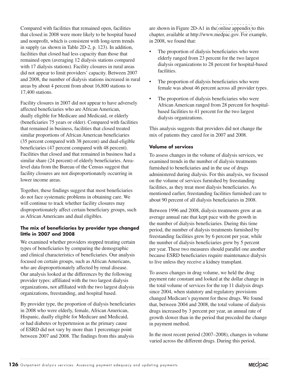Compared with facilities that remained open, facilities that closed in 2008 were more likely to be hospital based and nonprofit, which is consistent with long-term trends in supply (as shown in Table 2D-2, p. 123). In addition, facilities that closed had less capacity than those that remained open (averaging 12 dialysis stations compared with 17 dialysis stations). Facility closures in rural areas did not appear to limit providers' capacity. Between 2007 and 2008, the number of dialysis stations increased in rural areas by about 4 percent from about 16,800 stations to 17,400 stations.

Facility closures in 2007 did not appear to have adversely affected beneficiaries who are African American, dually eligible for Medicare and Medicaid, or elderly (beneficiaries 75 years or older). Compared with facilities that remained in business, facilities that closed treated similar proportions of African American beneficiaries (35 percent compared with 38 percent) and dual-eligible beneficiaries (47 percent compared with 48 percent). Facilities that closed and that remained in business had a similar share (24 percent) of elderly beneficiaries. Arealevel data from the Bureau of the Census suggest that facility closures are not disproportionately occurring in lower income areas.

Together, these findings suggest that most beneficiaries do not face systematic problems in obtaining care. We will continue to track whether facility closures may disproportionately affect certain beneficiary groups, such as African Americans and dual eligibles.

#### **The mix of beneficiaries by provider type changed little in 2007 and 2008**

We examined whether providers stopped treating certain types of beneficiaries by comparing the demographic and clinical characteristics of beneficiaries. Our analysis focused on certain groups, such as African Americans, who are disproportionately affected by renal disease. Our analysis looked at the differences by the following provider types: affiliated with the two largest dialysis organizations, not affiliated with the two largest dialysis organizations, freestanding, and hospital based.

By provider type, the proportion of dialysis beneficiaries in 2008 who were elderly, female, African American, Hispanic, dually eligible for Medicare and Medicaid, or had diabetes or hypertension as the primary cause of ESRD did not vary by more than 1 percentage point between 2007 and 2008. The findings from this analysis

are shown in Figure 2D-A1 in the [online appendix](http://medpac.gov/chapters/Mar10_Ch02D_APPENDIX.pdf) to this chapter, available at http://www.medpac.gov. For example, in 2008, we found that:

- The proportion of dialysis beneficiaries who were elderly ranged from 23 percent for the two largest dialysis organizations to 28 percent for hospital-based facilities.
- The proportion of dialysis beneficiaries who were female was about 46 percent across all provider types.
- The proportion of dialysis beneficiaries who were African American ranged from 28 percent for hospitalbased facilities to 41 percent for the two largest dialysis organizations.

This analysis suggests that providers did not change the mix of patients they cared for in 2007 and 2008.

#### **Volume of services**

To assess changes in the volume of dialysis services, we examined trends in the number of dialysis treatments furnished to beneficiaries and in the use of drugs administered during dialysis. For this analysis, we focused on the volume of services furnished by freestanding facilities, as they treat most dialysis beneficiaries. As mentioned earlier, freestanding facilities furnished care to about 90 percent of all dialysis beneficiaries in 2008.

Between 1996 and 2008, dialysis treatments grew at an average annual rate that kept pace with the growth in the number of dialysis beneficiaries. During this time period, the number of dialysis treatments furnished by freestanding facilities grew by 6 percent per year, while the number of dialysis beneficiaries grew by 5 percent per year. These two measures should parallel one another because ESRD beneficiaries require maintenance dialysis to live unless they receive a kidney transplant.

To assess changes in drug volume, we held the drug payment rate constant and looked at the dollar change in the total volume of services for the top 11 dialysis drugs since 2004, when statutory and regulatory provisions changed Medicare's payment for these drugs. We found that, between 2004 and 2008, the total volume of dialysis drugs increased by 3 percent per year, an annual rate of growth slower than in the period that preceded the change in payment method.

In the most recent period (2007–2008), changes in volume varied across the different drugs. During this period,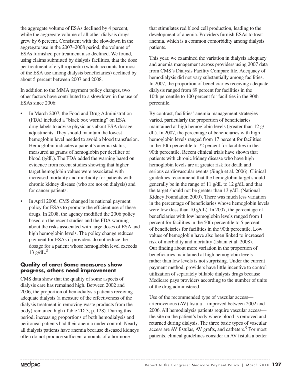the aggregate volume of ESAs declined by 4 percent, while the aggregate volume of all other dialysis drugs grew by 6 percent. Consistent with the slowdown in the aggregate use in the 2007–2008 period, the volume of ESAs furnished per treatment also declined. We found, using claims submitted by dialysis facilities, that the dose per treatment of erythropoietin (which accounts for most of the ESA use among dialysis beneficiaries) declined by about 5 percent between 2007 and 2008.

In addition to the MMA payment policy changes, two other factors have contributed to a slowdown in the use of ESAs since 2006:

- In March 2007, the Food and Drug Administration (FDA) included a "black box warning" on ESA drug labels to advise physicians about ESA dosage adjustments: They should maintain the lowest hemoglobin level needed to avoid a blood transfusion. Hemoglobin indicates a patient's anemia status, measured as grams of hemoglobin per deciliter of blood (g/dL). The FDA added the warning based on evidence from recent studies showing that higher target hemoglobin values were associated with increased mortality and morbidity for patients with chronic kidney disease (who are not on dialysis) and for cancer patients.
- In April 2006, CMS changed its national payment policy for ESAs to promote the efficient use of these drugs. In 2008, the agency modified the 2006 policy based on the recent studies and the FDA warning about the risks associated with large doses of ESA and high hemoglobin levels. The policy change reduces payment for ESAs if providers do not reduce the dosage for a patient whose hemoglobin level exceeds 13  $g/dL$ .<sup>8</sup>

#### **Quality of care: Some measures show progress, others need improvement**

CMS data show that the quality of some aspects of dialysis care has remained high. Between 2002 and 2006, the proportion of hemodialysis patients receiving adequate dialysis (a measure of the effectiveness of the dialysis treatment in removing waste products from the body) remained high (Table 2D-3, p. 128). During this period, increasing proportions of both hemodialysis and peritoneal patients had their anemia under control. Nearly all dialysis patients have anemia because diseased kidneys often do not produce sufficient amounts of a hormone

that stimulates red blood cell production, leading to the development of anemia. Providers furnish ESAs to treat anemia, which is a common comorbidity among dialysis patients.

This year, we examined the variation in dialysis adequacy and anemia management across providers using 2007 data from CMS's Dialysis Facility Compare file. Adequacy of hemodialysis did not vary substantially among facilities. In 2007, the proportion of beneficiaries receiving adequate dialysis ranged from 89 percent for facilities in the 10th percentile to 100 percent for facilities in the 90th percentile.

By contrast, facilities' anemia management strategies varied, particularly the proportion of beneficiaries maintained at high hemoglobin levels (greater than 12 g/ dL). In 2007, the percentage of beneficiaries with high hemoglobin levels ranged from 17 percent for facilities in the 10th percentile to 72 percent for facilities in the 90th percentile. Recent clinical trials have shown that patients with chronic kidney disease who have high hemoglobin levels are at greater risk for death and serious cardiovascular events (Singh et al. 2006). Clinical guidelines recommend that the hemoglobin target should generally be in the range of 11 g/dL to 12 g/dL and that the target should not be greater than 13 g/dL (National Kidney Foundation 2009). There was much less variation in the percentage of beneficiaries whose hemoglobin levels were low (less than 10 g/dL). In 2007, the percentage of beneficiaries with low hemoglobin levels ranged from 1 percent for facilities in the 50th percentile to 5 percent of beneficiaries for facilities in the 90th percentile. Low values of hemoglobin have also been linked to increased risk of morbidity and mortality (Ishani et al. 2008). Our finding about more variation in the proportion of beneficiaries maintained at high hemoglobin levels rather than low levels is not surprising. Under the current payment method, providers have little incentive to control utilization of separately billable dialysis drugs because Medicare pays providers according to the number of units of the drug administered.

Use of the recommended type of vascular access arteriovenous (AV) fistula—improved between 2002 and 2006. All hemodialysis patients require vascular access the site on the patient's body where blood is removed and returned during dialysis. The three basic types of vascular access are AV fistulas, AV grafts, and catheters.<sup>9</sup> For most patients, clinical guidelines consider an AV fistula a better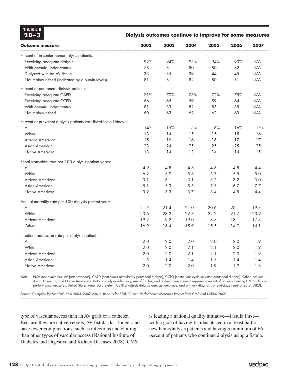| <b>TABLE</b><br>$2D-3$ | Dialysis outcomes continue to improve for some measures |
|------------------------|---------------------------------------------------------|
|                        |                                                         |

| <b>Outcome measure</b>                                           | 2002 | 2003 | 2004 | 2005 | 2006 | 2007 |
|------------------------------------------------------------------|------|------|------|------|------|------|
| Percent of in-center hemodialysis patients:                      |      |      |      |      |      |      |
| Receiving adequate dialysis                                      | 92%  | 94%  | 95%  | 94%  | 93%  | N/A  |
| With anemia under control                                        | 78   | 81   | 80   | 80   | 82   | N/A  |
| Dialyzed with an AV fistula                                      | 33   | 35   | 39   | 44   | 45   | N/A  |
| Not malnourished (indicated by albumin levels)                   | 81   | 81   | 82   | 80   | 81   | N/A  |
| Percent of peritoneal dialysis patients:                         |      |      |      |      |      |      |
| Receiving adequate CAPD                                          | 71%  | 70%  | 73%  | 72%  | 75%  | N/A  |
| Receiving adequate CCPD                                          | 66   | 65   | 59   | 59   | 64   | N/A  |
| With anemia under control                                        | 81   | 83   | 82   | 83   | 85   | N/A  |
| Not malnourished                                                 | 60   | 63   | 62   | 62   | 63   | N/A  |
| Percent of prevalent dialysis patients wait-listed for a kidney: |      |      |      |      |      |      |
| All                                                              | 14%  | 15%  | 15%  | 16%  | 16%  | 17%  |
| White                                                            | 13   | 14   | 15   | 15   | 15   | 16   |
| African American                                                 | 15   | 16   | 16   | 16   | 17   | 17   |
| Asian American                                                   | 23   | 24   | 25   | 25   | 25   | 25   |
| Native American                                                  | 13   | 14   | 13   | 14   | 14   | 15   |
| Renal transplant rate per 100 dialysis patient years:            |      |      |      |      |      |      |
| All                                                              | 4.9  | 4.8  | 4.8  | 4.8  | 4.8  | 4.4  |
| White                                                            | 6.2  | 5.9  | 5.8  | 5.7  | 5.5  | 5.0  |
| African American                                                 | 3.1  | 3.1  | 3.1  | 3.2  | 3.2  | 3.0  |
| Asian American                                                   | 5.1  | 5.3  | 5.5  | 5.5  | 6.7  | 7.7  |
| Native American                                                  | 3.2  | 3.3  | 3.7  | 3.4  | 4.5  | 4.4  |
| Annual mortality rate per 100 dialysis patient years:            |      |      |      |      |      |      |
| All                                                              | 21.7 | 21.4 | 21.0 | 20.6 | 20.1 | 19.3 |
| White                                                            | 23.6 | 23.2 | 22.7 | 22.2 | 21.7 | 20.9 |
| African American                                                 | 19.2 | 19.2 | 19.0 | 18.7 | 18.1 | 17.3 |
| Other                                                            | 16.9 | 16.4 | 15.9 | 15.5 | 14.9 | 14.1 |
| Inpatient admission rate per dialysis patient:                   |      |      |      |      |      |      |
| All                                                              | 2.0  | 2.0  | 2.0  | 2.0  | 2.0  | 1.9  |
| White                                                            | 2.0  | 2.0  | 2.1  | 2.1  | 2.0  | 1.9  |
| African American                                                 | 2.0  | 2.0  | 2.1  | 2.1  | 2.0  | 1.9  |
| Asian American                                                   | 1.5  | 1.4  | 1.4  | 1.5  | 1.4  | 1.4  |
| Native American                                                  | 2.0  | 2.0  | 2.0  | 1.9  | 1.9  | 1.8  |

Note: N/A (not available), AV (arteriovenous), CAPD (continuous ambulatory peritoneal dialysis), CCPD (continuous cycler-assisted peritoneal dialysis). Other includes Asian Americans and Native Americans. Data on dialysis adequacy, use of fistulas, and anemia management represent percent of patients meeting CMS's clinical performance measures. United States Renal Data System (USRDS) adjusts data by age, gender, race, and primary diagnosis of end-stage renal disease (ESRD).

Source: Compiled by MedPAC from 2003–2007 Annual Reports for ESRD Clinical Performance Measures Project from CMS and USRDS 2009.

type of vascular access than an AV graft or a catheter. Because they are native vessels, AV fistulas last longer and have fewer complications, such as infections and clotting, than other types of vascular access (National Institute of Diabetes and Digestive and Kidney Diseases 2008). CMS

is leading a national quality initiative—Fistula First with a goal of having fistulas placed in at least half of new hemodialysis patients and having a minimum of 66 percent of patients who continue dialysis using a fistula.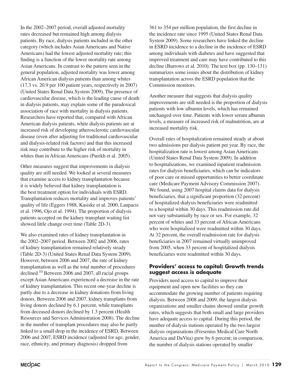In the 2002–2007 period, overall adjusted mortality rates decreased but remained high among dialysis patients. By race, dialysis patients included in the other category (which includes Asian Americans and Native Americans) had the lowest adjusted mortality rate; this finding is a function of the lower mortality rate among Asian Americans. In contrast to the pattern seen in the general population, adjusted mortality was lower among African American dialysis patients than among whites (17.3 vs. 20.9 per 100 patient years, respectively in 2007) (United States Renal Data System 2009). The presence of cardiovascular disease, which is the leading cause of death in dialysis patients, may explain some of the paradoxical association of race with mortality in dialysis patients. Researchers have reported that, compared with African American dialysis patients, white dialysis patients are at increased risk of developing atherosclerotic cardiovascular disease (even after adjusting for traditional cardiovascular and dialysis-related risk factors) and that this increased risk may contribute to the higher risk of mortality in whites than in African Americans (Parekh et al. 2005).

Other measures suggest that improvements in dialysis quality are still needed. We looked at several measures that examine access to kidney transplantation because it is widely believed that kidney transplantation is the best treatment option for individuals with ESRD. Transplantation reduces mortality and improves patients' quality of life (Eggers 1988, Kasiske et al. 2000, Laupacis et al. 1996, Ojo et al. 1994). The proportion of dialysis patients accepted on the kidney transplant waiting list showed little change over time (Table 2D-3).

We also examined rates of kidney transplantation in the 2002–2007 period. Between 2002 and 2006, rates of kidney transplantation remained relatively steady (Table 2D-3) (United States Renal Data System 2009). However, between 2006 and 2007, the rate of kidney transplantation as well as the total number of procedures declined.10 Between 2006 and 2007, all racial groups except Asian Americans experienced a decrease in the rate of kidney transplantation. This recent one-year decline is partly due to a decrease in kidney donations from living donors. Between 2006 and 2007, kidney transplants from living donors declined by 6.1 percent, while transplants from deceased donors declined by 1.3 percent (Health Resources and Services Administration 2008). The decline in the number of transplant procedures may also be partly linked to a small drop in the incidence of ESRD. Between 2006 and 2007, ESRD incidence (adjusted for age, gender, race, ethnicity, and primary diagnosis) dropped from

361 to 354 per million population, the first decline in the incidence rate since 1995 (United States Renal Data System 2009). Some researchers have linked the decline in ESRD incidence to a decline in the incidence of ESRD among individuals with diabetes and have suggested that improved treatment and care may have contributed to this decline (Burrows et al. 2010). The text box (pp. 130–131) summarizes some issues about the distribution of kidney transplantation across the ESRD population that the Commission monitors.

Another measure that suggests that dialysis quality improvements are still needed is the proportion of dialysis patients with low albumin levels, which has remained unchanged over time. Patients with lower serum albumin levels, a measure of increased risk of malnutrition, are at increased mortality risk.

Overall rates of hospitalization remained steady at about two admissions per dialysis patient per year. By race, the hospitalization rate is lowest among Asian Americans (United States Renal Data System 2009). In addition to hospitalizations, we examined inpatient readmission rates for dialysis beneficiaries, which can be indicators of poor care or missed opportunities to better coordinate care (Medicare Payment Advisory Commission 2007). We found, using 2007 hospital claims data for dialysis beneficiaries, that a significant proportion (32 percent) of hospitalized dialysis beneficiaries were readmitted to a hospital within 30 days. This readmission rate did not vary substantially by race or sex. For example, 32 percent of whites and 33 percent of African Americans who were hospitalized were readmitted within 30 days. At 32 percent, the overall readmission rate for dialysis beneficiaries in 2007 remained virtually unimproved from 2005, when 33 percent of hospitalized dialysis beneficiaries were readmitted within 30 days.

#### **Providers' access to capital: Growth trends suggest access is adequate**

Providers need access to capital to improve their equipment and open new facilities so they can accommodate the growing number of patients requiring dialysis. Between 2008 and 2009, the largest dialysis organizations and smaller chains showed similar growth rates, which suggests that both small and large providers have adequate access to capital. During this period, the number of dialysis stations operated by the two largest dialysis organizations (Fresenius Medical Care North America and DaVita) grew by 6 percent; in comparison, the number of dialysis stations operated by smaller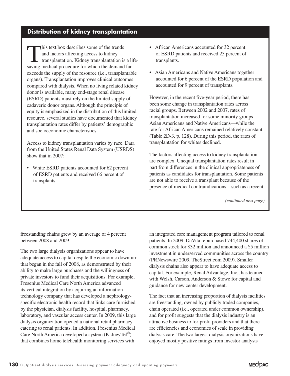## **Distribution of kidney transplantation**

This text box describes some of the trends<br>
and factors affecting access to kidney<br>
transplantation. Kidney transplantation is a life-<br>
serving modical procedure for which the demand for and factors affecting access to kidney saving medical procedure for which the demand far exceeds the supply of the resource (i.e., transplantable organs). Transplantation improves clinical outcomes compared with dialysis. When no living related kidney donor is available, many end-stage renal disease (ESRD) patients must rely on the limited supply of cadaveric donor organs. Although the principle of equity is emphasized in the distribution of this limited resource, several studies have documented that kidney transplantation rates differ by patients' demographic and socioeconomic characteristics.

Access to kidney transplantation varies by race. Data from the United States Renal Data System (USRDS) show that in 2007:

• White ESRD patients accounted for 62 percent of ESRD patients and received 66 percent of transplants.

- African Americans accounted for 32 percent of ESRD patients and received 25 percent of transplants.
- Asian Americans and Native Americans together accounted for 6 percent of the ESRD population and accounted for 9 percent of transplants.

However, in the recent five-year period, there has been some change in transplantation rates across racial groups. Between 2002 and 2007, rates of transplantation increased for some minority groups— Asian Americans and Native Americans—while the rate for African Americans remained relatively constant (Table 2D-3, p. 128). During this period, the rates of transplantation for whites declined.

The factors affecting access to kidney transplantation are complex. Unequal transplantation rates result in part from differences in the clinical appropriateness of patients as candidates for transplantation. Some patients are not able to receive a transplant because of the presence of medical contraindications—such as a recent

*(continued next page)*

freestanding chains grew by an average of 4 percent between 2008 and 2009.

The two large dialysis organizations appear to have adequate access to capital despite the economic downturn that began in the fall of 2008, as demonstrated by their ability to make large purchases and the willingness of private investors to fund their acquisitions. For example, Fresenius Medical Care North America advanced its vertical integration by acquiring an information technology company that has developed a nephrologyspecific electronic health record that links care furnished by the physician, dialysis facility, hospital, pharmacy, laboratory, and vascular access center. In 2009, this large dialysis organization opened a national retail pharmacy catering to renal patients. In addition, Fresenius Medical Care North America developed a system (KidneyTel®) that combines home telehealth monitoring services with

an integrated care management program tailored to renal patients. In 2009, DaVita repurchased 744,400 shares of common stock for \$32 million and announced a \$5 million investment in underserved communities across the country (PRNewswire 2009, TheStreet.com 2009). Smaller dialysis chains also appear to have adequate access to capital. For example, Renal Advantage, Inc., has teamed with Welsh, Carson, Anderson & Stowe for capital and guidance for new center development.

The fact that an increasing proportion of dialysis facilities are freestanding, owned by publicly traded companies, chain operated (i.e., operated under common ownership), and for profit suggests that the dialysis industry is an attractive business to for-profit providers and that there are efficiencies and economies of scale in providing dialysis care. The two largest dialysis organizations have enjoyed mostly positive ratings from investor analysts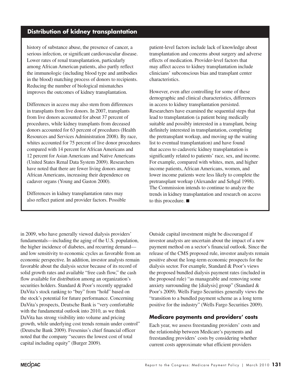## **Distribution of kidney transplantation**

history of substance abuse, the presence of cancer, a serious infection, or significant cardiovascular disease. Lower rates of renal transplantation, particularly among African American patients, also partly reflect the immunologic (including blood type and antibodies in the blood) matching process of donors to recipients. Reducing the number of biological mismatches improves the outcomes of kidney transplantation.

Differences in access may also stem from differences in transplants from live donors. In 2007, transplants from live donors accounted for about 37 percent of procedures, while kidney transplants from deceased donors accounted for 63 percent of procedures (Health Resources and Services Administration 2008). By race, whites accounted for 75 percent of live donor procedures compared with 14 percent for African Americans and 12 percent for Asian Americans and Native Americans (United States Renal Data System 2009). Researchers have noted that there are fewer living donors among African Americans, increasing their dependence on cadaver organs (Young and Gaston 2000).

Differences in kidney transplantation rates may also reflect patient and provider factors. Possible

patient-level factors include lack of knowledge about transplantation and concerns about surgery and adverse effects of medication. Provider-level factors that may affect access to kidney transplantation include clinicians' subconscious bias and transplant center characteristics.

However, even after controlling for some of these demographic and clinical characteristics, differences in access to kidney transplantation persisted. Researchers have examined the sequential steps that lead to transplantation (a patient being medically suitable and possibly interested in a transplant, being definitely interested in transplantation, completing the pretransplant workup, and moving up the waiting list to eventual transplantation) and have found that access to cadaveric kidney transplantation is significantly related to patients' race, sex, and income. For example, compared with whites, men, and higher income patients, African Americans, women, and lower income patients were less likely to complete the pretransplant workup (Alexander and Sehgal 1998). The Commission intends to continue to analyze the trends in kidney transplantation and research on access to this procedure. ■

in 2009, who have generally viewed dialysis providers' fundamentals—including the aging of the U.S. population, the higher incidence of diabetes, and recurring demand and low sensitivity to economic cycles as favorable from an economic perspective. In addition, investor analysts remain favorable about the dialysis sector because of its record of solid growth rates and available "free cash flow," the cash flow available for distribution among an organization's securities holders. Standard & Poor's recently upgraded DaVita's stock ranking to "buy" from "hold" based on the stock's potential for future performance. Concerning DaVita's prospects, Deutsche Bank is "very comfortable with the fundamental outlook into 2010, as we think DaVita has strong visibility into volume and pricing growth, while underlying cost trends remain under control" (Deutsche Bank 2009). Fresenius's chief financial officer noted that the company "secures the lowest cost of total capital including equity" (Burger 2009).

Outside capital investment might be discouraged if investor analysts are uncertain about the impact of a new payment method on a sector's financial outlook. Since the release of the CMS proposed rule, investor analysts remain positive about the long-term economic prospects for the dialysis sector. For example, Standard & Poor's views the proposed bundled dialysis payment rates (included in the proposed rule) "as manageable and removing some anxiety surrounding the [dialysis] group" (Standard & Poor's 2009). Wells Fargo Securities generally views the "transition to a bundled payment scheme as a long term positive for the industry" (Wells Fargo Securities 2009).

## **Medicare payments and providers' costs**

Each year, we assess freestanding providers' costs and the relationship between Medicare's payments and freestanding providers' costs by considering whether current costs approximate what efficient providers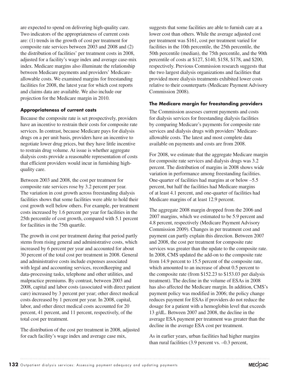are expected to spend on delivering high-quality care. Two indicators of the appropriateness of current costs are: (1) trends in the growth of cost per treatment for composite rate services between 2003 and 2008 and (2) the distribution of facilities' per treatment costs in 2008, adjusted for a facility's wage index and average case-mix index. Medicare margins also illuminate the relationship between Medicare payments and providers' Medicareallowable costs. We examined margins for freestanding facilities for 2008, the latest year for which cost reports and claims data are available. We also include our projection for the Medicare margin in 2010.

#### **Appropriateness of current costs**

Because the composite rate is set prospectively, providers have an incentive to restrain their costs for composite rate services. In contrast, because Medicare pays for dialysis drugs on a per unit basis, providers have an incentive to negotiate lower drug prices, but they have little incentive to restrain drug volume. At issue is whether aggregate dialysis costs provide a reasonable representation of costs that efficient providers would incur in furnishing highquality care.

Between 2003 and 2008, the cost per treatment for composite rate services rose by 3.2 percent per year. The variation in cost growth across freestanding dialysis facilities shows that some facilities were able to hold their cost growth well below others. For example, per treatment costs increased by 1.6 percent per year for facilities in the 25th percentile of cost growth, compared with 5.1 percent for facilities in the 75th quartile.

The growth in cost per treatment during that period partly stems from rising general and administrative costs, which increased by 6 percent per year and accounted for about 30 percent of the total cost per treatment in 2008. General and administrative costs include expenses associated with legal and accounting services, recordkeeping and data-processing tasks, telephone and other utilities, and malpractice premiums. By contrast, between 2003 and 2008, capital and labor costs (associated with direct patient care) increased by 3 percent per year; other direct medical costs decreased by 1 percent per year. In 2008, capital, labor, and other direct medical costs accounted for 20 percent, 41 percent, and 11 percent, respectively, of the total cost per treatment.

The distribution of the cost per treatment in 2008, adjusted for each facility's wage index and average case mix,

suggests that some facilities are able to furnish care at a lower cost than others. While the average adjusted cost per treatment was \$161, cost per treatment varied for facilities in the 10th percentile, the 25th percentile, the 50th percentile (median), the 75th percentile, and the 90th percentile of costs at \$127, \$140, \$158, \$178, and \$200, respectively. Previous Commission research suggests that the two largest dialysis organizations and facilities that provided more dialysis treatments exhibited lower costs relative to their counterparts (Medicare Payment Advisory Commission 2008).

#### **The Medicare margin for freestanding providers**

The Commission assesses current payments and costs for dialysis services for freestanding dialysis facilities by comparing Medicare's payments for composite rate services and dialysis drugs with providers' Medicareallowable costs. The latest and most complete data available on payments and costs are from 2008.

For 2008, we estimate that the aggregate Medicare margin for composite rate services and dialysis drugs was 3.2 percent. The distribution of margins in 2008 shows wide variation in performance among freestanding facilities. One-quarter of facilities had margins at or below –5.5 percent, but half the facilities had Medicare margins of at least 4.1 percent, and one-quarter of facilities had Medicare margins of at least 12.9 percent.

The aggregate 2008 margin dropped from the 2006 and 2007 margins, which we estimated to be 5.9 percent and 4.8 percent, respectively (Medicare Payment Advisory Commission 2009). Changes in per treatment cost and payment can partly explain this direction. Between 2007 and 2008, the cost per treatment for composite rate services was greater than the update to the composite rate. In 2008, CMS updated the add-on to the composite rate from 14.9 percent to 15.5 percent of the composite rate, which amounted to an increase of about 0.5 percent to the composite rate (from \$152.23 to \$153.03 per dialysis treatment). The decline in the volume of ESAs in 2008 has also affected the Medicare margin. In addition, CMS's payment policy was modified in 2006; the policy change reduces payment for ESAs if providers do not reduce the dosage for a patient with a hemoglobin level that exceeds 13 g/dL. Between 2007 and 2008, the decline in the average ESA payment per treatment was greater than the decline in the average ESA cost per treatment.

As in earlier years, urban facilities had higher margins than rural facilities (3.9 percent vs. –0.3 percent,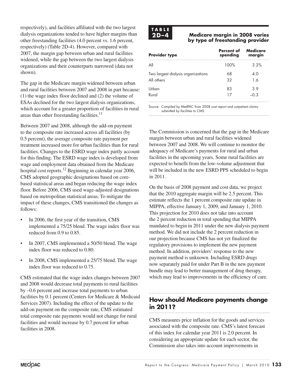respectively), and facilities affiliated with the two largest dialysis organizations tended to have higher margins than other freestanding facilities (4.0 percent vs. 1.6 percent, respectively) (Table 2D-4). However, compared with 2007, the margin gap between urban and rural facilities widened, while the gap between the two largest dialysis organizations and their counterparts narrowed (data not shown).

The gap in the Medicare margin widened between urban and rural facilities between 2007 and 2008 in part because: (1) the wage index floor declined and (2) the volume of ESAs declined for the two largest dialysis organizations, which account for a greater proportion of facilities in rural areas than other freestanding facilities. $11$ 

Between 2007 and 2008, although the add-on payment to the composite rate increased across all facilities (by 0.5 percent), the average composite rate payment per treatment increased more for urban facilities than for rural facilities. Changes to the ESRD wage index partly account for this finding. The ESRD wage index is developed from wage and employment data obtained from the Medicare hospital cost reports.<sup>12</sup> Beginning in calendar year 2006, CMS adopted geographic designations based on corebased statistical areas and began reducing the wage index floor. Before 2006, CMS used wage-adjusted designations based on metropolitan statistical areas. To mitigate the impact of these changes, CMS transitioned the changes as follows:

- In 2006, the first year of the transition, CMS implemented a 75/25 blend. The wage index floor was reduced from 0.9 to 0.85.
- In 2007, CMS implemented a 50/50 blend. The wage index floor was reduced to 0.80.
- In 2008, CMS implemented a 25/75 blend. The wage index floor was reduced to 0.75.

CMS estimated that the wage index changes between 2007 and 2008 would decrease total payments to rural facilities by –0.6 percent and increase total payments to urban facilities by 0.1 percent (Centers for Medicare & Medicaid Services 2007). Including the effect of the update to the add-on payment on the composite rate, CMS estimated total composite rate payments would not change for rural facilities and would increase by 0.7 percent for urban facilities in 2008.

# **T A B L E**

#### **2D –4 Medicare margin in 2008 varies by type of freestanding provider**

| <b>Provider type</b>                             | Percent of<br>spending | Medicare<br>margin |
|--------------------------------------------------|------------------------|--------------------|
| All                                              | 100%                   | 3.2%               |
| Two largest dialysis organizations<br>All others | 68<br>37               | 4 O<br>1.6         |
| Urban<br>Rural                                   |                        | 3.9<br>0.3         |
|                                                  |                        |                    |

Source: Compiled by MedPAC from 2008 cost report and outpatient claims submitted by facilities to CMS.

The Commission is concerned that the gap in the Medicare margin between urban and rural facilities widened between 2007 and 2008. We will continue to monitor the adequacy of Medicare's payments for rural and urban facilities in the upcoming years. Some rural facilities are expected to benefit from the low-volume adjustment that will be included in the new ESRD PPS scheduled to begin in 2011.

On the basis of 2008 payment and cost data, we project that the 2010 aggregate margin will be 2.5 percent. This estimate reflects the 1 percent composite rate update in MIPPA, effective January 1, 2009, and January 1, 2010. This projection for 2010 does not take into account the 2 percent reduction in total spending that MIPPA mandated to begin in 2011 under the new dialysis payment method. We did not include the 2 percent reduction in our projection because CMS has not yet finalized the regulatory provisions to implement the new payment method. In addition, providers' response to the new payment method is unknown. Including ESRD drugs now separately paid for under Part B in the new payment bundle may lead to better management of drug therapy, which may lead to improvements in the efficiency of care.

# **How should Medicare payments change in 2011?**

CMS measures price inflation for the goods and services associated with the composite rate. CMS's latest forecast of this index for calendar year 2011 is 2.0 percent. In considering an appropriate update for each sector, the Commission also takes into account improvements in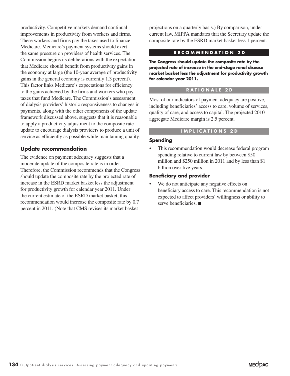productivity. Competitive markets demand continual improvements in productivity from workers and firms. These workers and firms pay the taxes used to finance Medicare. Medicare's payment systems should exert the same pressure on providers of health services. The Commission begins its deliberations with the expectation that Medicare should benefit from productivity gains in the economy at large (the 10-year average of productivity gains in the general economy is currently 1.3 percent). This factor links Medicare's expectations for efficiency to the gains achieved by the firms and workers who pay taxes that fund Medicare. The Commission's assessment of dialysis providers' historic responsiveness to changes in payments, along with the other components of the update framework discussed above, suggests that it is reasonable to apply a productivity adjustment to the composite rate update to encourage dialysis providers to produce a unit of service as efficiently as possible while maintaining quality.

#### **Update recommendation**

The evidence on payment adequacy suggests that a moderate update of the composite rate is in order. Therefore, the Commission recommends that the Congress should update the composite rate by the projected rate of increase in the ESRD market basket less the adjustment for productivity growth for calendar year 2011. Under the current estimate of the ESRD market basket, this recommendation would increase the composite rate by 0.7 percent in 2011. (Note that CMS revises its market basket

projections on a quarterly basis.) By comparison, under current law, MIPPA mandates that the Secretary update the composite rate by the ESRD market basket less 1 percent.

#### **R E C O M M E N D A T I O N 2 D**

**The Congress should update the composite rate by the projected rate of increase in the end-stage renal disease market basket less the adjustment for productivity growth for calendar year 2011.** 

#### **R A T I O N A L E 2 D**

Most of our indicators of payment adequacy are positive, including beneficiaries' access to care, volume of services, quality of care, and access to capital. The projected 2010 aggregate Medicare margin is 2.5 percent.

#### **I M P L I C A T I O N S 2 D**

#### **Spending**

This recommendation would decrease federal program spending relative to current law by between \$50 million and \$250 million in 2011 and by less than \$1 billion over five years.

#### **Beneficiary and provider**

We do not anticipate any negative effects on beneficiary access to care. This recommendation is not expected to affect providers' willingness or ability to serve beneficiaries. ■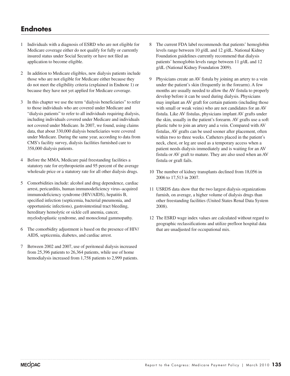# **Endnotes**

- 1 Individuals with a diagnosis of ESRD who are not eligible for Medicare coverage either do not qualify for fully or currently insured status under Social Security or have not filed an application to become eligible.
- 2 In addition to Medicare eligibles, new dialysis patients include those who are not eligible for Medicare either because they do not meet the eligibility criteria (explained in Endnote 1) or because they have not yet applied for Medicare coverage.
- 3 In this chapter we use the term "dialysis beneficiaries" to refer to those individuals who are covered under Medicare and "dialysis patients" to refer to all individuals requiring dialysis, including individuals covered under Medicare and individuals not covered under Medicare. In 2007, we found, using claims data, that about 330,000 dialysis beneficiaries were covered under Medicare. During the same year, according to data from CMS's facility survey, dialysis facilities furnished care to 358,000 dialysis patients.
- 4 Before the MMA, Medicare paid freestanding facilities a statutory rate for erythropoietin and 95 percent of the average wholesale price or a statutory rate for all other dialysis drugs.
- 5 Comorbidities include: alcohol and drug dependence, cardiac arrest, pericarditis, human immunodeficiency virus–acquired immunodeficiency syndrome (HIV/AIDS), hepatitis B, specified infection (septicemia, bacterial pneumonia, and opportunistic infections), gastrointestinal tract bleeding, hereditary hemolytic or sickle cell anemia, cancer, myelodysplastic syndrome, and monoclonal gammopathy.
- 6 The comorbidity adjustment is based on the presence of HIV/ AIDS, septicemia, diabetes, and cardiac arrest.
- 7 Between 2002 and 2007, use of peritoneal dialysis increased from 25,396 patients to 26,364 patients, while use of home hemodialysis increased from 1,758 patients to 2,999 patients.
- 8 The current FDA label recommends that patients' hemoglobin levels range between 10 g/dL and 12 g/dL. National Kidney Foundation guidelines currently recommend that dialysis patients' hemoglobin levels range between 11 g/dL and 12 g/dL (National Kidney Foundation 2009).
- 9 Physicians create an AV fistula by joining an artery to a vein under the patient's skin (frequently in the forearm). A few months are usually needed to allow the AV fistula to properly develop before it can be used during dialysis. Physicians may implant an AV graft for certain patients (including those with small or weak veins) who are not candidates for an AV fistula. Like AV fistulas, physicians implant AV grafts under the skin, usually in the patient's forearm. AV grafts use a soft plastic tube to join an artery and a vein. Compared with AV fistulas, AV grafts can be used sooner after placement, often within two to three weeks. Catheters placed in the patient's neck, chest, or leg are used as a temporary access when a patient needs dialysis immediately and is waiting for an AV fistula or AV graft to mature. They are also used when an AV fistula or graft fails.
- 10 The number of kidney transplants declined from 18,056 in 2006 to 17,513 in 2007.
- 11 USRDS data show that the two largest dialysis organizations furnish, on average, a higher volume of dialysis drugs than other freestanding facilities (United States Renal Data System 2008).
- 12 The ESRD wage index values are calculated without regard to geographic reclassifications and utilize prefloor hospital data that are unadjusted for occupational mix.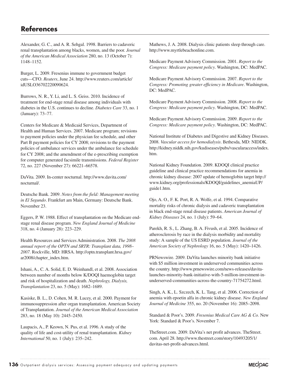# **References**

Alexander, G. C., and A. R. Sehgal. 1998. Barriers to cadaveric renal transplantation among blacks, women, and the poor. *Journal of the American Medical Association* 280, no. 13 (October 7): 1148–1152.

Burger, L. 2009. Fresenius immune to government budget cuts—CFO. *Reuters*, June 24. http://www.reuters.com/article/ idUSLO36702220090624.

Burrows, N. R., Y. Li, and L. S. Geiss. 2010. Incidence of treatment for end-stage renal disease among individuals with diabetes in the U.S. continues to decline. *Diabetes Care* 33, no. 1 (January): 73–77.

Centers for Medicare & Medicaid Services, Department of Health and Human Services. 2007. Medicare program; revisions to payment policies under the physician fee schedule, and other Part B payment policies for CY 2008; revisions to the payment policies of ambulance services under the ambulance fee schedule for CY 2008; and the amendment of the e-prescribing exemption for computer generated facsimile transmissions. *Federal Register*  72, no. 227 (November 27): 66221–66578.

DaVita. 2009. In-center nocturnal. http://www.davita.com/ nocturnal/.

Deutsche Bank. 2009. *Notes from the field: Management meeting in El Segundo*. Frankfurt am Main, Germany: Deutsche Bank. November 23.

Eggers, P. W. 1988. Effect of transplantation on the Medicare endstage renal disease program. *New England Journal of Medicine* 318, no. 4 (January 28): 223–229.

Health Resources and Services Administration. 2008. *The 2008 annual report of the OPTN and SRTR: Transplant data, 1998*– *2007*. Rockville, MD: HRSA. http://optn.transplant.hrsa.gov/ ar2008/chapter\_index.htm.

Ishani, A., C. A. Solid, E. D. Weinhandl, et al. 2008. Association between number of months below K/DOQI haemoglobin target and risk of hospitalization and death. *Nephrology, Dialysis, Transplantation* 23, no. 5 (May): 1682–1689.

Kasiske, B. L., D. Cohen, M. R. Lucey, et al. 2000. Payment for immunosuppression after organ transplantation. American Society of Transplantation. *Journal of the American Medical Association* 283, no. 18 (May 10): 2445–2450.

Laupacis, A., P. Keown, N. Pus, et al. 1996. A study of the quality of life and cost-utility of renal transplantation. *Kidney International* 50, no. 1 (July): 235–242.

Mathews, J. A. 2008. Dialysis clinic patients sleep through care. http://www.myrtlebeachonline.com.

Medicare Payment Advisory Commission. 2001. *Report to the Congress: Medicare payment policy*. Washington, DC: MedPAC.

Medicare Payment Advisory Commission. 2007. *Report to the Congress: Promoting greater efficiency in Medicare*. Washington, DC: MedPAC.

Medicare Payment Advisory Commission. 2008. *Report to the Congress: Medicare payment policy*. Washington, DC: MedPAC.

Medicare Payment Advisory Commission. 2009. *Report to the Congress: Medicare payment policy*. Washington, DC: MedPAC.

National Institute of Diabetes and Digestive and Kidney Diseases. 2008. *Vascular access for hemodialysis*. Bethesda, MD: NIDDK. http://kidney.niddk.nih.gov/kudiseases/pubs/vascularaccess/index. htm.

National Kidney Foundation. 2009. KDOQI clinical practice guideline and clinical practice recommendations for anemia in chronic kidney disease: 2007 update of hemoglobin target http:// www.kidney.org/professionals/KDOQI/guidelines\_anemiaUP/ guide1.htm.

Ojo, A. O., F. K. Port, R. A. Wolfe, et al. 1994. Comparative mortality risks of chronic dialysis and cadaveric transplantation in black end-stage renal disease patients. *American Journal of Kidney Diseases* 24, no. 1 (July): 59–64.

Parekh, R. S., L. Zhang, B. A. Fivush, et al. 2005. Incidence of atherosclerosis by race in the dialysis morbidity and mortality study: A sample of the US ESRD population. *Journal of the American Society of Nephrology* 16, no. 5 (May): 1420–1426.

PRNewswire. 2009. DaVita launches minority bank initiative with \$5 million investment in underserved communities across the country. http://www.prnewswire.com/news-releases/davitalaunches-minority-bank-initiative-with-5-million-investment-inunderserved-communities-across-the-country-71754272.html.

Singh, A. K., L. Szczech, K. L. Tang, et al. 2006. Correction of anemia with epoetin alfa in chronic kidney disease. *New England Journal of Medicine* 355, no. 20 (November 16): 2085–2098.

Standard & Poor's. 2009. *Fresenius Medical Care AG & Co.* New York: Standard & Poor's. November 7.

TheStreet.com. 2009. DaVita's net profit advances. TheStreet. com. April 28. http://www.thestreet.com/story/10493205/1/ davitas-net-profit-advances.html.